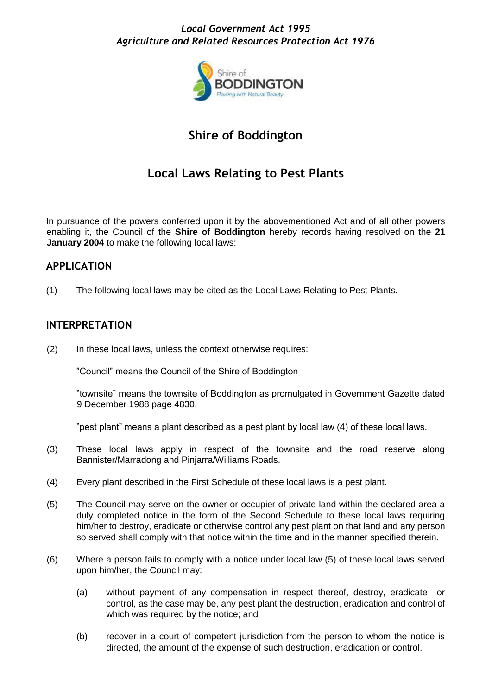### *Local Government Act 1995 Agriculture and Related Resources Protection Act 1976*



# **Shire of Boddington**

## **Local Laws Relating to Pest Plants**

In pursuance of the powers conferred upon it by the abovementioned Act and of all other powers enabling it, the Council of the **Shire of Boddington** hereby records having resolved on the **21 January 2004** to make the following local laws:

#### **APPLICATION**

(1) The following local laws may be cited as the Local Laws Relating to Pest Plants.

#### **INTERPRETATION**

(2) In these local laws, unless the context otherwise requires:

"Council" means the Council of the Shire of Boddington

"townsite" means the townsite of Boddington as promulgated in Government Gazette dated 9 December 1988 page 4830.

"pest plant" means a plant described as a pest plant by local law (4) of these local laws.

- (3) These local laws apply in respect of the townsite and the road reserve along Bannister/Marradong and Pinjarra/Williams Roads.
- (4) Every plant described in the First Schedule of these local laws is a pest plant.
- (5) The Council may serve on the owner or occupier of private land within the declared area a duly completed notice in the form of the Second Schedule to these local laws requiring him/her to destroy, eradicate or otherwise control any pest plant on that land and any person so served shall comply with that notice within the time and in the manner specified therein.
- (6) Where a person fails to comply with a notice under local law (5) of these local laws served upon him/her, the Council may:
	- (a) without payment of any compensation in respect thereof, destroy, eradicate or control, as the case may be, any pest plant the destruction, eradication and control of which was required by the notice; and
	- (b) recover in a court of competent jurisdiction from the person to whom the notice is directed, the amount of the expense of such destruction, eradication or control.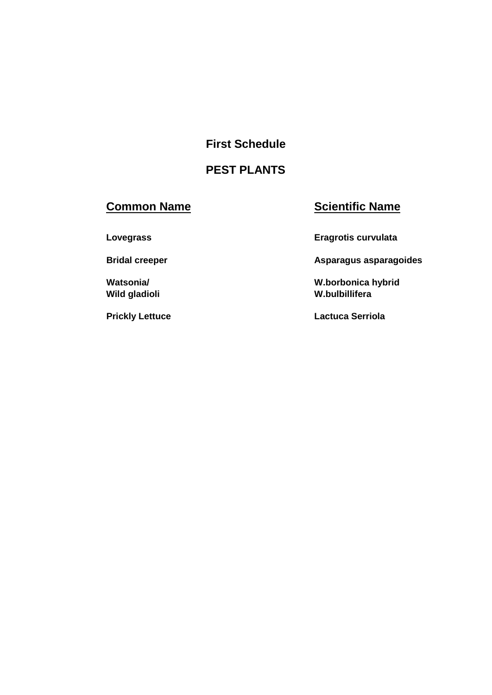**First Schedule** 

# **PEST PLANTS**

# **Common Name Scientific Name**

**Lovegrass Eragrotis curvulata** 

**Bridal creeper Asparagus asparagoides Asparagus asparagoides** 

**Watsonia/ W.borbonica hybrid Wild gladioli W.bulbillifera** 

**Prickly Lettuce Lactuca Serriola**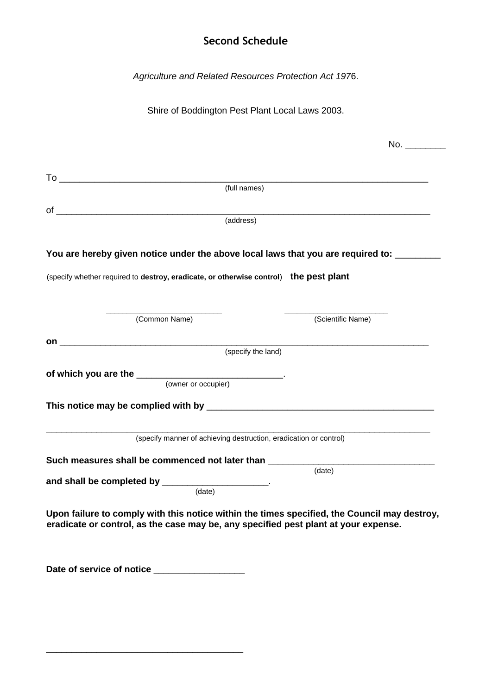### **Second Schedule**

*Agriculture and Related Resources Protection Act 197*6.

Shire of Boddington Pest Plant Local Laws 2003.

|                                                                                                                                                                                     | No.                |
|-------------------------------------------------------------------------------------------------------------------------------------------------------------------------------------|--------------------|
|                                                                                                                                                                                     |                    |
|                                                                                                                                                                                     |                    |
| (full names)                                                                                                                                                                        |                    |
|                                                                                                                                                                                     |                    |
| (address)                                                                                                                                                                           |                    |
| You are hereby given notice under the above local laws that you are required to: ______                                                                                             |                    |
| (specify whether required to destroy, eradicate, or otherwise control) the pest plant                                                                                               |                    |
| (Common Name)                                                                                                                                                                       | (Scientific Name)  |
|                                                                                                                                                                                     |                    |
|                                                                                                                                                                                     | (specify the land) |
|                                                                                                                                                                                     |                    |
| (owner or occupier)                                                                                                                                                                 |                    |
|                                                                                                                                                                                     |                    |
| (specify manner of achieving destruction, eradication or control)                                                                                                                   |                    |
| Such measures shall be commenced not later than _______                                                                                                                             |                    |
|                                                                                                                                                                                     | (date)             |
| and shall be completed by ______________________.<br>(date)                                                                                                                         |                    |
| Upon failure to comply with this notice within the times specified, the Council may destroy,<br>eradicate or control, as the case may be, any specified pest plant at your expense. |                    |
| Date of service of notice ________________                                                                                                                                          |                    |

\_\_\_\_\_\_\_\_\_\_\_\_\_\_\_\_\_\_\_\_\_\_\_\_\_\_\_\_\_\_\_\_\_\_\_\_\_\_\_